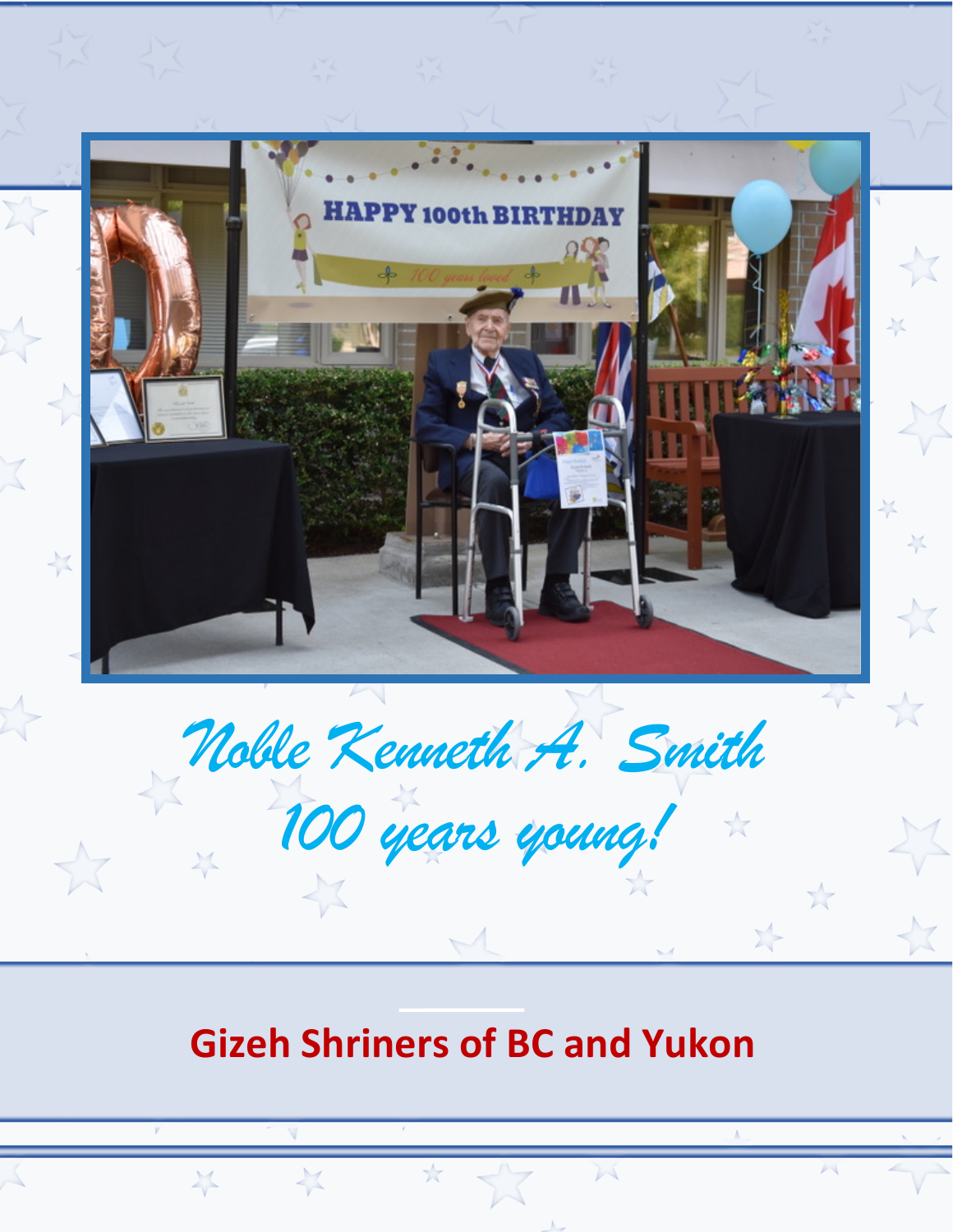

## **Gizeh Shriners of BC and Yukon**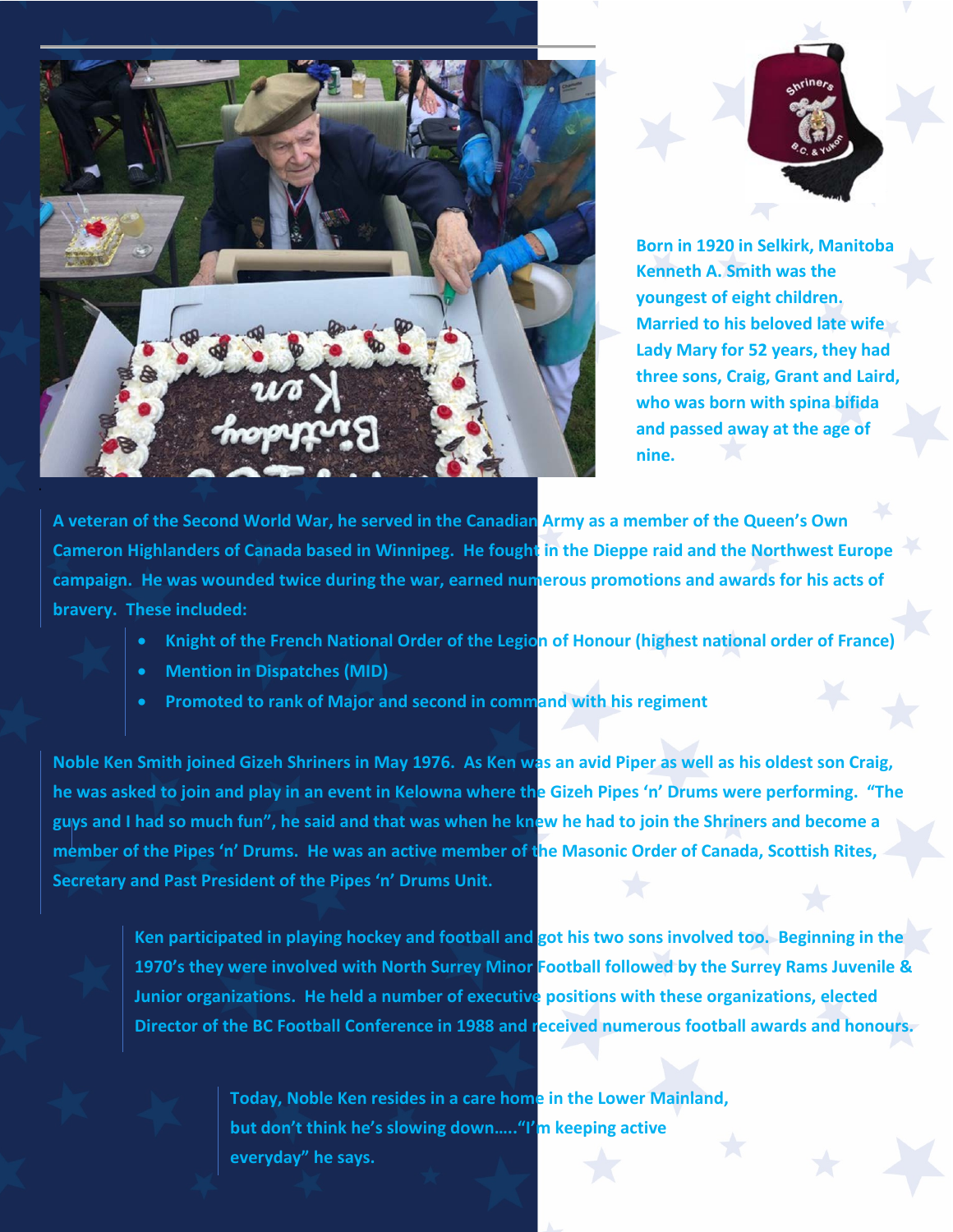



**Born in 1920 in Selkirk, Manitoba Kenneth A. Smith was the youngest of eight children. Married to his beloved late wife Lady Mary for 52 years, they had three sons, Craig, Grant and Laird, who was born with spina bifida and passed away at the age of nine.**

**A veteran of the Second World War, he served in the Canadian Army as a member of the Queen's Own Cameron Highlanders of Canada based in Winnipeg. He fought in the Dieppe raid and the Northwest Europe campaign. He was wounded twice during the war, earned numerous promotions and awards for his acts of bravery. These included:**

- Knight of the French National Order of the Legion of Honour (highest national order of France)
- **Mention in Dispatches (MID)**
- **Promoted to rank of Major and second in command with his regiment**

**Noble Ken Smith joined Gizeh Shriners in May 1976. As Ken was an avid Piper as well as his oldest son Craig, he was asked to join and play in an event in Kelowna where the Gizeh Pipes 'n' Drums were performing. "The**  guys and I had so much fun", he said and that was when he knew he had to join the Shriners and become a **member of the Pipes 'n' Drums. He was an active member of the Masonic Order of Canada, Scottish Rites, Secretary and Past President of the Pipes 'n' Drums Unit.**

**Ken participated in playing hockey and football and got his two sons involved too. Beginning in the 1970's they were involved with North Surrey Minor Football followed by the Surrey Rams Juvenile & Junior organizations. He held a number of executive positions with these organizations, elected Director of the BC Football Conference in 1988 and received numerous football awards and honours.**

> **Today, Noble Ken resides in a care home in the Lower Mainland, but don't think he's slowing down….."I'm keeping active everyday" he says.**